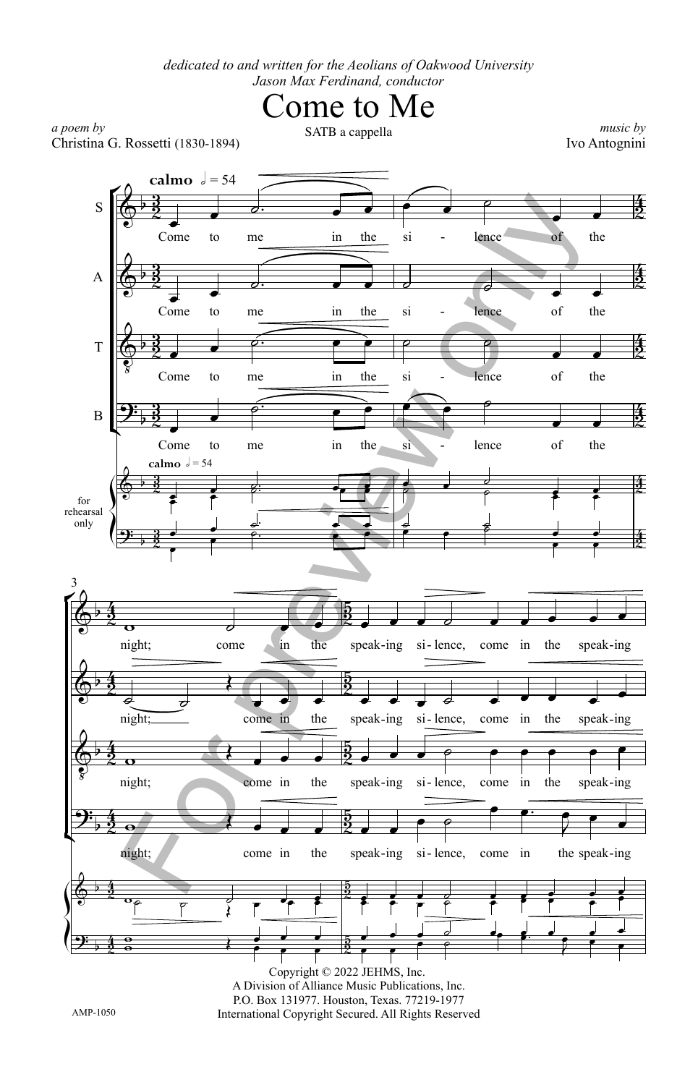*dedicated to and written for the Aeolians of Oakwood University Jason Max Ferdinand, conductor*



P.O. Box 131977. Houston, Texas. 77219-1977 International Copyright Secured. All Rights Reserved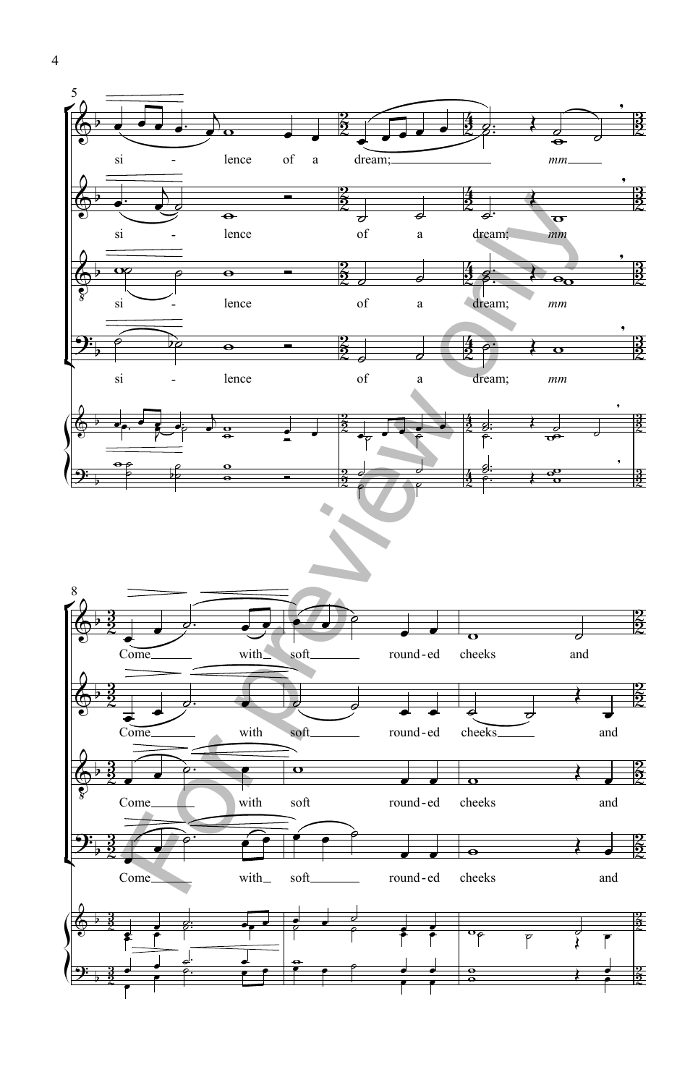

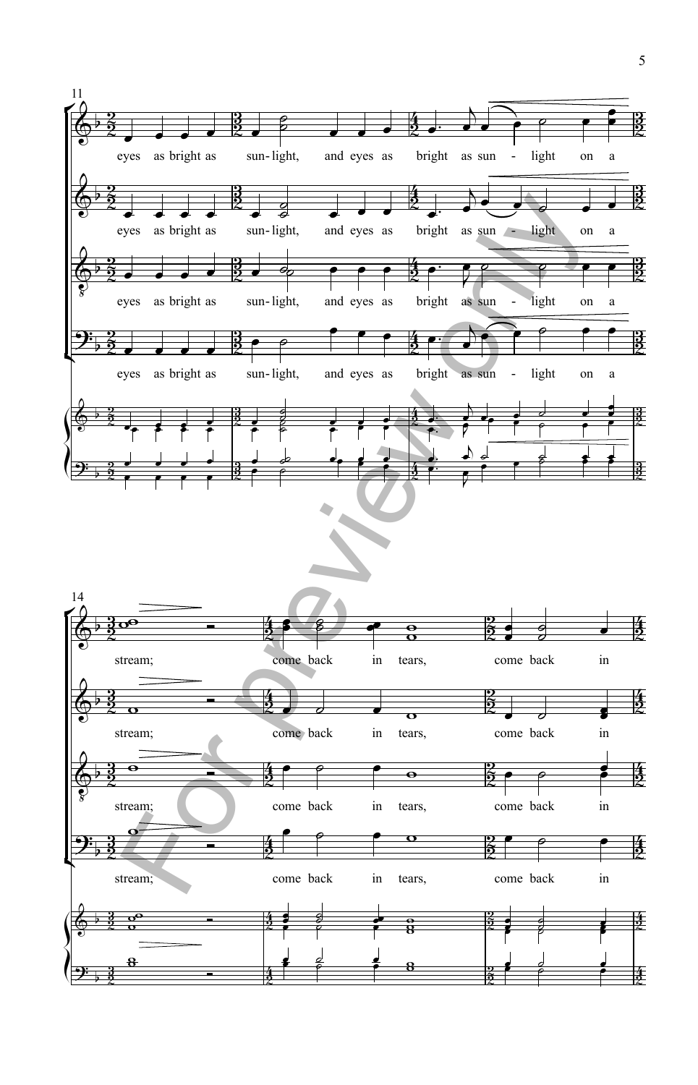

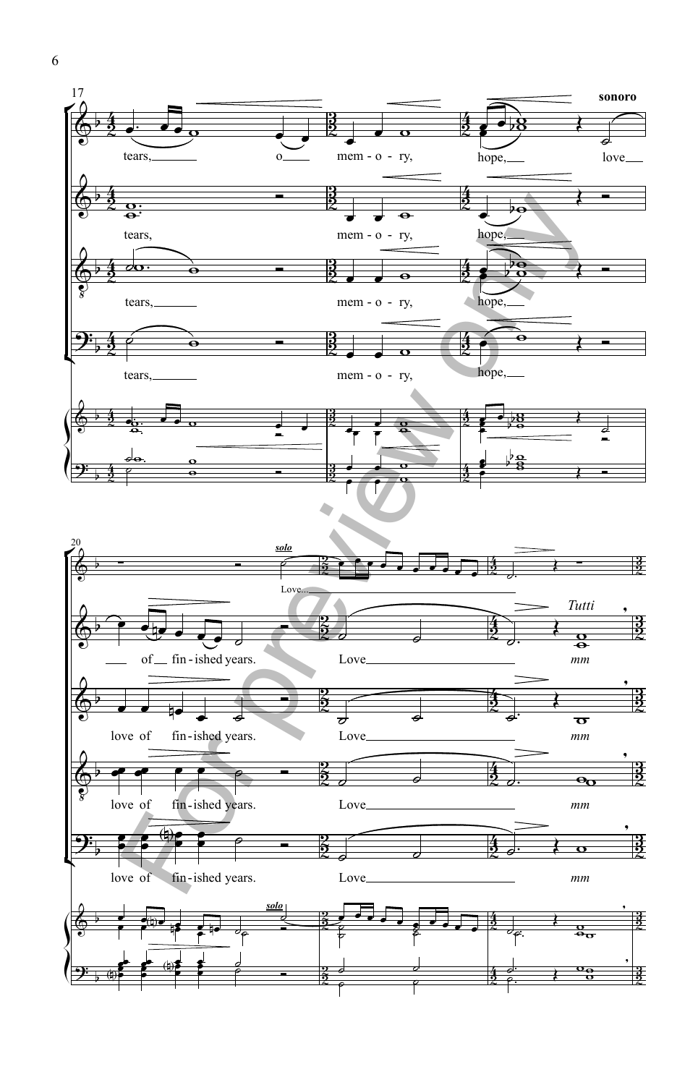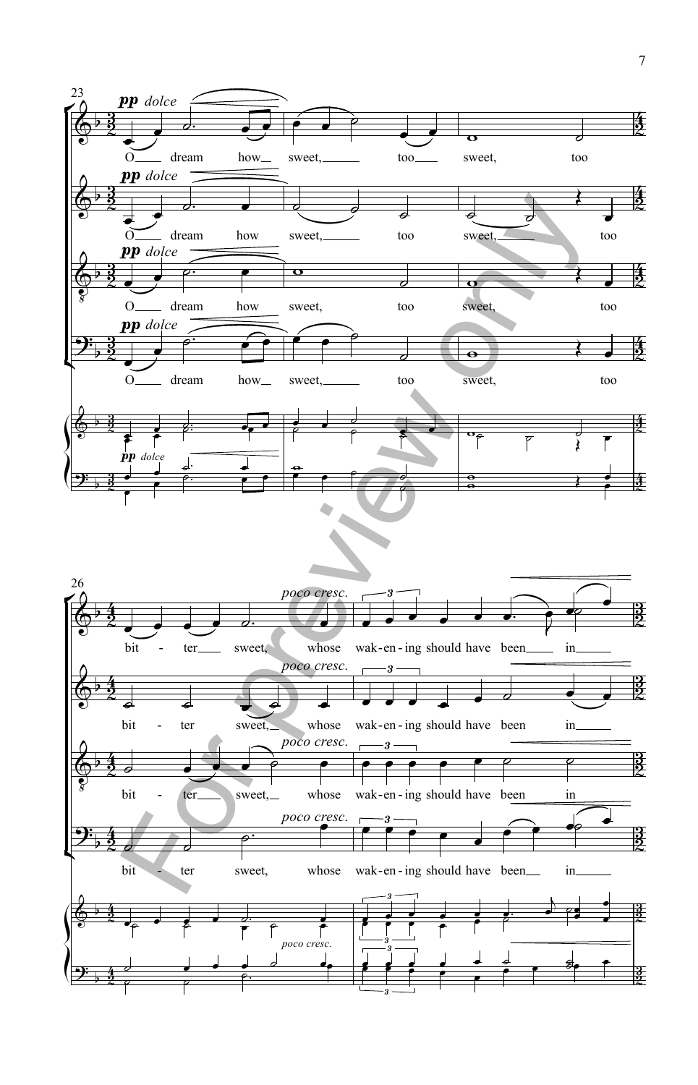

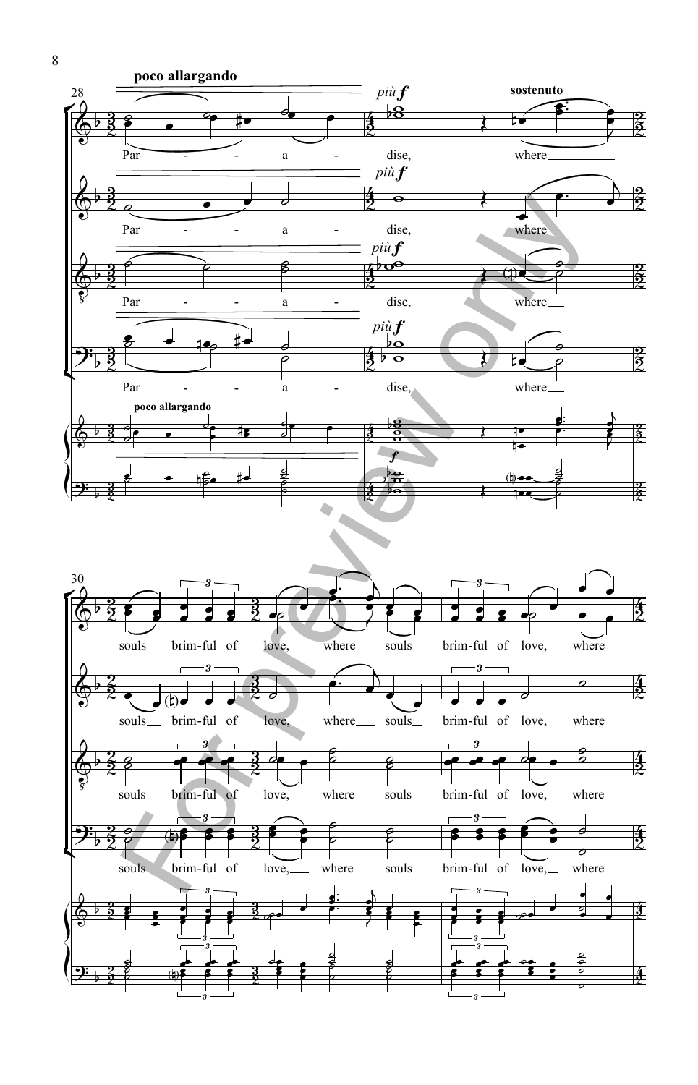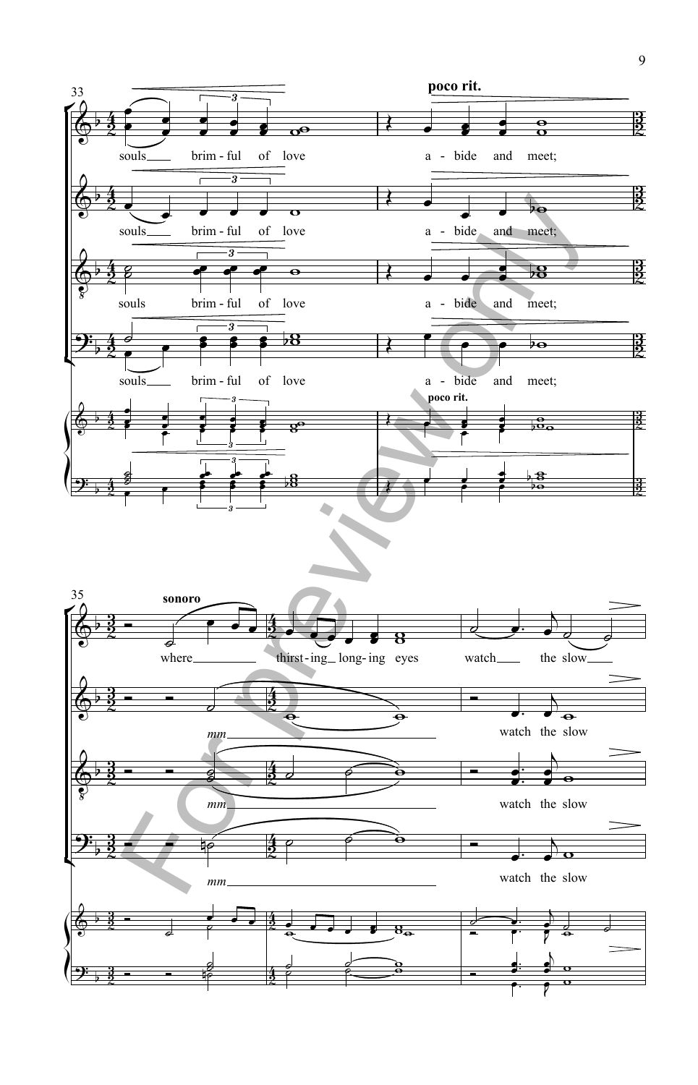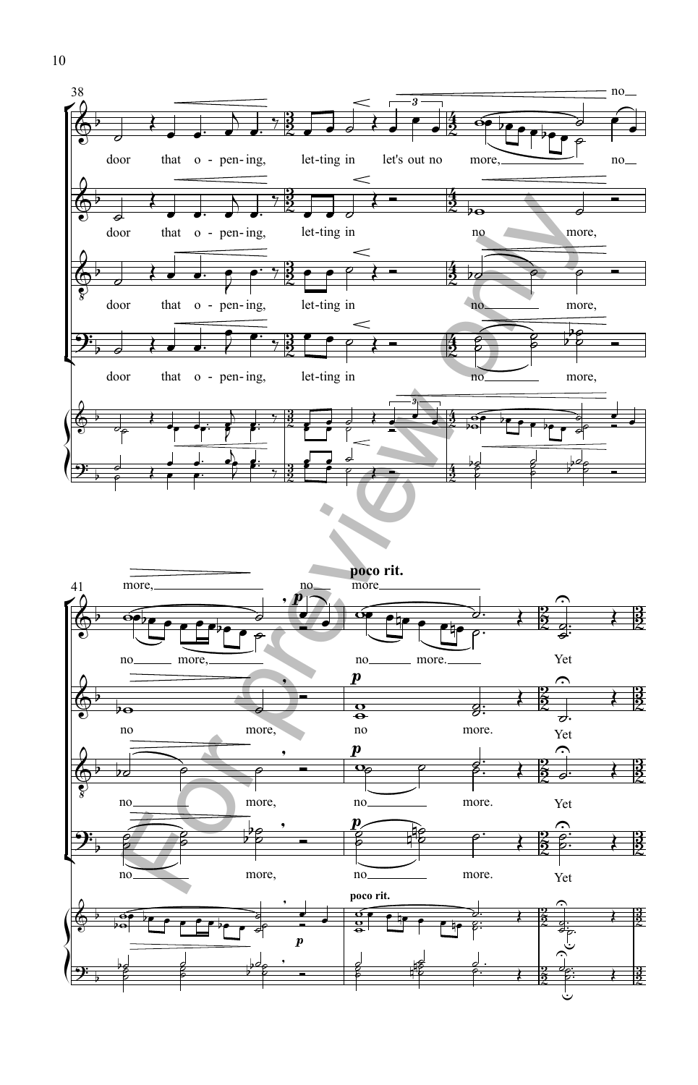

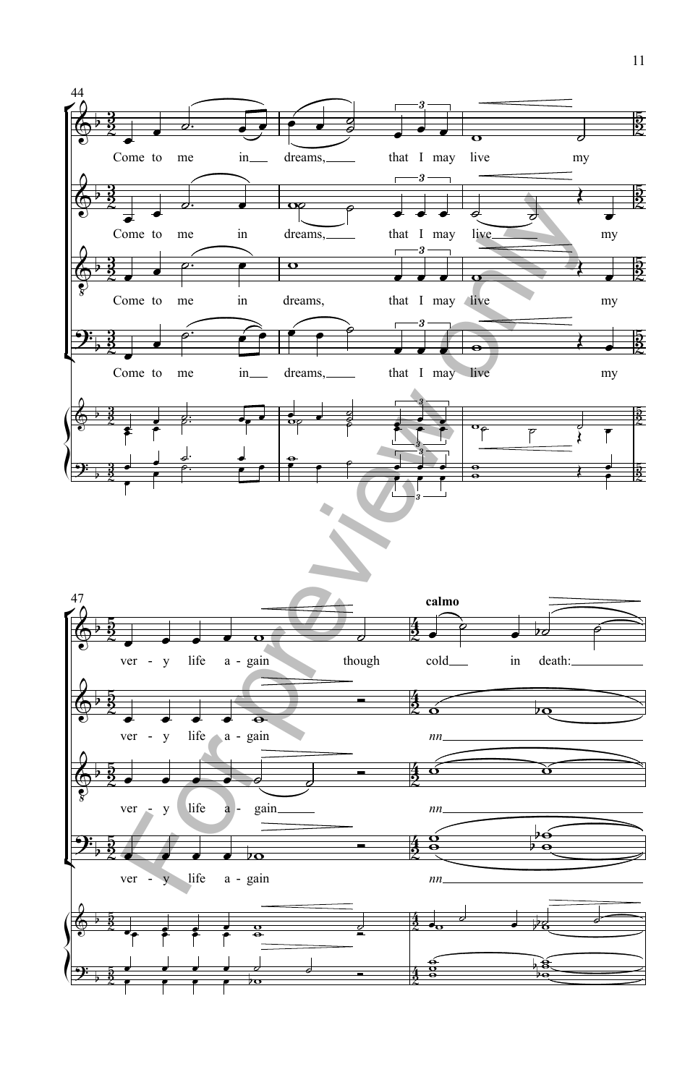

<sup>11</sup>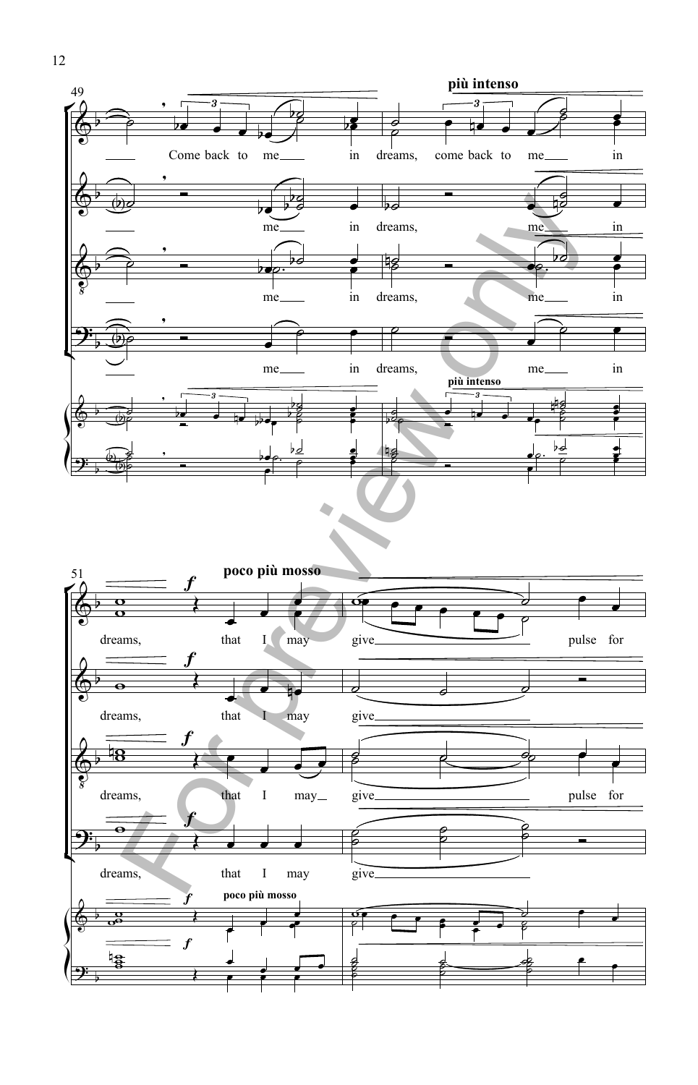

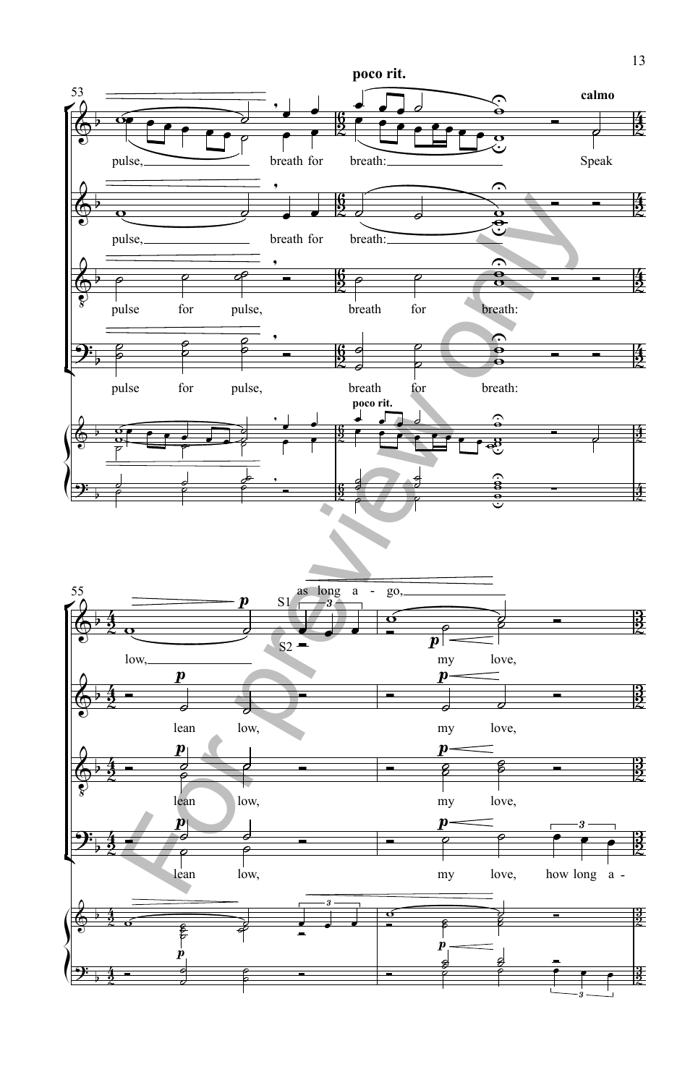